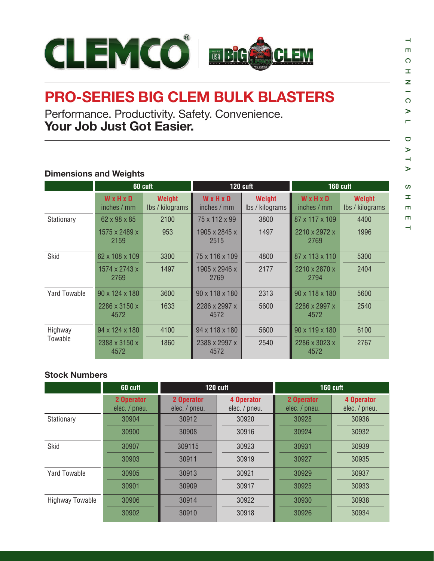

## **PRO-SERIES BIG CLEM BULK BLASTERS**

Performance. Productivity. Safety. Convenience. **Your Job Just Got Easier.**

## **Dimensions and Weights**

|              | 60 cuft               |                           |                       | 120 cuft                  | <b>160 cuft</b>            |                                  |  |
|--------------|-----------------------|---------------------------|-----------------------|---------------------------|----------------------------|----------------------------------|--|
|              | WxHxD<br>inches / mm  | Weight<br>Ibs / kilograms | WxHxD<br>inches / mm  | Weight<br>Ibs / kilograms | WxHxD<br>inches / mm       | <b>Weight</b><br>lbs / kilograms |  |
| Stationary   | 62 x 98 x 85          | 2100                      | 75 x 112 x 99         | 3800                      | 87 x 117 x 109             | 4400                             |  |
|              | 1575 x 2489 x<br>2159 | 953                       | 1905 x 2845 x<br>2515 | 1497                      | 2210 x 2972 x<br>2769      | 1996                             |  |
| <b>Skid</b>  | 62 x 108 x 109        | 3300                      | 75 x 116 x 109        | 4800                      | 87 x 113 x 110             | 5300                             |  |
|              | 1574 x 2743 x<br>2769 | 1497                      | 1905 x 2946 x<br>2769 | 2177                      | 2210 x 2870 x<br>2794      | 2404                             |  |
| Yard Towable | 90 x 124 x 180        | 3600                      | 90 x 118 x 180        | 2313                      | $90 \times 118 \times 180$ | 5600                             |  |
|              | 2286 x 3150 x<br>4572 | 1633                      | 2286 x 2997 x<br>4572 | 5600                      | 2286 x 2997 x<br>4572      | 2540                             |  |
| Highway      | 94 x 124 x 180        | 4100                      | 94 x 118 x 180        | 5600                      | 90 x 119 x 180             | 6100                             |  |
| Towable      | 2388 x 3150 x<br>4572 | 1860                      | 2388 x 2997 x<br>4572 | 2540                      | 2286 x 3023 x<br>4572      | 2767                             |  |

## **Stock Numbers**

|                        | 60 cuft                     |                             | 120 cuft                    | <b>160 cuft</b>             |                             |  |
|------------------------|-----------------------------|-----------------------------|-----------------------------|-----------------------------|-----------------------------|--|
|                        | 2 Operator<br>elec. / pneu. | 2 Operator<br>elec. / pneu. | 4 Operator<br>elec. / pneu. | 2 Operator<br>elec. / pneu. | 4 Operator<br>elec. / pneu. |  |
| Stationary             | 30904                       | 30912                       | 30920                       | 30928                       | 30936                       |  |
|                        | 30900                       | 30908                       | 30916                       | 30924                       | 30932                       |  |
| Skid                   | 30907                       | 309115                      | 30923                       | 30931                       | 30939                       |  |
|                        | 30903                       | 30911                       | 30919                       | 30927                       | 30935                       |  |
| <b>Yard Towable</b>    | 30905                       | 30913                       | 30921                       | 30929                       | 30937                       |  |
|                        | 30901                       | 30909                       | 30917                       | 30925                       | 30933                       |  |
| <b>Highway Towable</b> | 30906                       | 30914                       | 30922                       | 30930                       | 30938                       |  |
|                        | 30902                       | 30910                       | 30918                       | 30926                       | 30934                       |  |

 $\rightarrow$